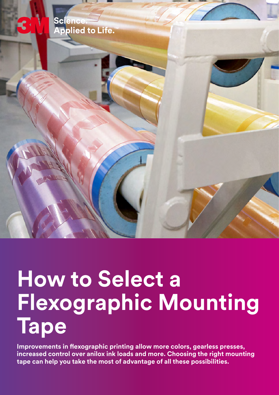

## **How to Select a Flexographic Mounting Tape**

**Improvements in flexographic printing allow more colors, gearless presses, increased control over anilox ink loads and more. Choosing the right mounting tape can help you take the most of advantage of all these possibilities.**